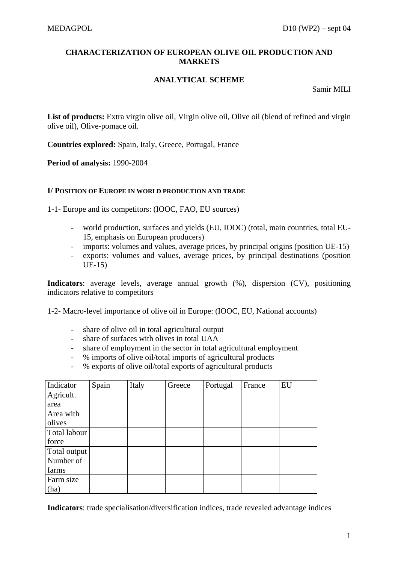# **CHARACTERIZATION OF EUROPEAN OLIVE OIL PRODUCTION AND MARKETS**

# **ANALYTICAL SCHEME**

Samir MILI

List of products: Extra virgin olive oil, Virgin olive oil, Olive oil (blend of refined and virgin olive oil), Olive-pomace oil.

**Countries explored:** Spain, Italy, Greece, Portugal, France

**Period of analysis:** 1990-2004

## **I/ POSITION OF EUROPE IN WORLD PRODUCTION AND TRADE**

1-1- Europe and its competitors: (IOOC, FAO, EU sources)

- world production, surfaces and yields (EU, IOOC) (total, main countries, total EU-15, emphasis on European producers)
- imports: volumes and values, average prices, by principal origins (position UE-15)
- exports: volumes and values, average prices, by principal destinations (position UE-15)

**Indicators**: average levels, average annual growth (%), dispersion (CV), positioning indicators relative to competitors

1-2- Macro-level importance of olive oil in Europe: (IOOC, EU, National accounts)

- share of olive oil in total agricultural output
- share of surfaces with olives in total UAA
- share of employment in the sector in total agricultural employment
- % imports of olive oil/total imports of agricultural products
- % exports of olive oil/total exports of agricultural products

| Indicator    | Spain | Italy | Greece | Portugal | France | EU |
|--------------|-------|-------|--------|----------|--------|----|
| Agricult.    |       |       |        |          |        |    |
| area         |       |       |        |          |        |    |
| Area with    |       |       |        |          |        |    |
| olives       |       |       |        |          |        |    |
| Total labour |       |       |        |          |        |    |
| force        |       |       |        |          |        |    |
| Total output |       |       |        |          |        |    |
| Number of    |       |       |        |          |        |    |
| farms        |       |       |        |          |        |    |
| Farm size    |       |       |        |          |        |    |
| (ha)         |       |       |        |          |        |    |

**Indicators**: trade specialisation/diversification indices, trade revealed advantage indices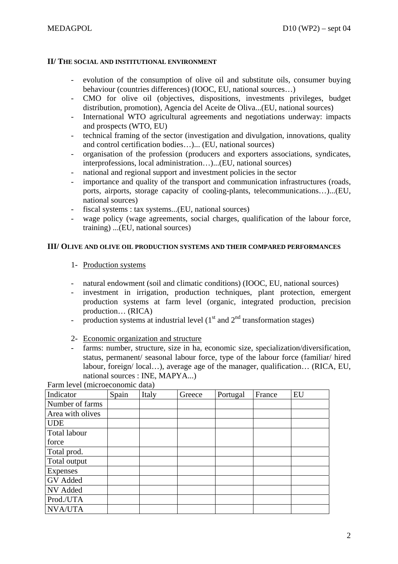## **II/ THE SOCIAL AND INSTITUTIONAL ENVIRONMENT**

- evolution of the consumption of olive oil and substitute oils, consumer buying behaviour (countries differences) (IOOC, EU, national sources…)
- CMO for olive oil (objectives, dispositions, investments privileges, budget distribution, promotion), Agencia del Aceite de Oliva...(EU, national sources)
- International WTO agricultural agreements and negotiations underway: impacts and prospects (WTO, EU)
- technical framing of the sector (investigation and divulgation, innovations, quality and control certification bodies…)... (EU, national sources)
- organisation of the profession (producers and exporters associations, syndicates, interprofessions, local administration…)...(EU, national sources)
- national and regional support and investment policies in the sector
- importance and quality of the transport and communication infrastructures (roads, ports, airports, storage capacity of cooling-plants, telecommunications…)...(EU, national sources)
- fiscal systems : tax systems...(EU, national sources)
- wage policy (wage agreements, social charges, qualification of the labour force, training) ...(EU, national sources)

## **III/ OLIVE AND OLIVE OIL PRODUCTION SYSTEMS AND THEIR COMPARED PERFORMANCES**

- 1- Production systems
- natural endowment (soil and climatic conditions) (IOOC, EU, national sources)
- investment in irrigation, production techniques, plant protection, emergent production systems at farm level (organic, integrated production, precision production… (RICA)
- production systems at industrial level  $(1<sup>st</sup>$  and  $2<sup>nd</sup>$  transformation stages)
- 2- Economic organization and structure
- farms: number, structure, size in ha, economic size, specialization/diversification, status, permanent/ seasonal labour force, type of the labour force (familiar/ hired labour, foreign/ local…), average age of the manager, qualification… (RICA, EU, national sources : INE, MAPYA...)

Farm level (microeconomic data)

| Indicator        | Spain | Italy | Greece | Portugal | France | EU |
|------------------|-------|-------|--------|----------|--------|----|
| Number of farms  |       |       |        |          |        |    |
| Area with olives |       |       |        |          |        |    |
| <b>UDE</b>       |       |       |        |          |        |    |
| Total labour     |       |       |        |          |        |    |
| force            |       |       |        |          |        |    |
| Total prod.      |       |       |        |          |        |    |
| Total output     |       |       |        |          |        |    |
| Expenses         |       |       |        |          |        |    |
| GV Added         |       |       |        |          |        |    |
| NV Added         |       |       |        |          |        |    |
| Prod./UTA        |       |       |        |          |        |    |
| <b>NVA/UTA</b>   |       |       |        |          |        |    |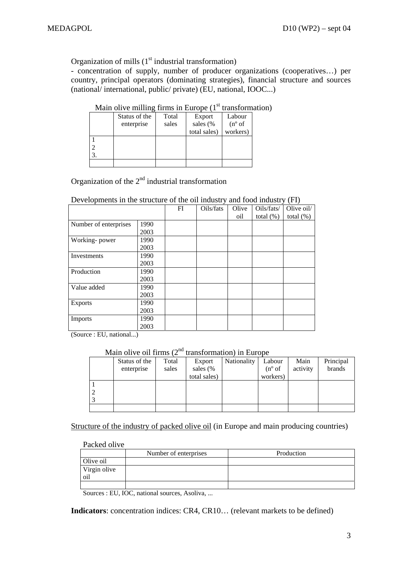Organization of mills  $(1<sup>st</sup>$  industrial transformation)

- concentration of supply, number of producer organizations (cooperatives…) per country, principal operators (dominating strategies), financial structure and sources (national/ international, public/ private) (EU, national, IOOC...)

|    | Status of the | Total | Export       | Labour          |
|----|---------------|-------|--------------|-----------------|
|    | enterprise    | sales | sales (%     | $(n^{\circ}$ of |
|    |               |       | total sales) | workers)        |
|    |               |       |              |                 |
|    |               |       |              |                 |
| 3. |               |       |              |                 |
|    |               |       |              |                 |

# Main olive milling firms in Europe  $(1<sup>st</sup>$  transformation)

Organization of the  $2<sup>nd</sup>$  industrial transformation

### Developments in the structure of the oil industry and food industry (FI)

|                       |      | FI | Oils/fats | Olive | Oils/fats/   | Olive oil/   |
|-----------------------|------|----|-----------|-------|--------------|--------------|
|                       |      |    |           | oil   | total $(\%)$ | total $(\%)$ |
| Number of enterprises | 1990 |    |           |       |              |              |
|                       | 2003 |    |           |       |              |              |
| Working-power         | 1990 |    |           |       |              |              |
|                       | 2003 |    |           |       |              |              |
| Investments           | 1990 |    |           |       |              |              |
|                       | 2003 |    |           |       |              |              |
| Production            | 1990 |    |           |       |              |              |
|                       | 2003 |    |           |       |              |              |
| Value added           | 1990 |    |           |       |              |              |
|                       | 2003 |    |           |       |              |              |
| <b>Exports</b>        | 1990 |    |           |       |              |              |
|                       | 2003 |    |           |       |              |              |
| Imports               | 1990 |    |           |       |              |              |
|                       | 2003 |    |           |       |              |              |

(Source : EU, national...)

Main olive oil firms  $(2<sup>nd</sup>$  transformation) in Europe

| Status of the | Total | Export       | Nationality | Labour          | Main     | Principal |
|---------------|-------|--------------|-------------|-----------------|----------|-----------|
| enterprise    | sales | sales (%     |             | $(n^{\circ}$ of | activity | brands    |
|               |       | total sales) |             | workers)        |          |           |
|               |       |              |             |                 |          |           |
|               |       |              |             |                 |          |           |
|               |       |              |             |                 |          |           |
|               |       |              |             |                 |          |           |

Structure of the industry of packed olive oil (in Europe and main producing countries)

## Packed olive

|              | Number of enterprises | Production |
|--------------|-----------------------|------------|
| Olive oil    |                       |            |
| Virgin olive |                       |            |
| oil          |                       |            |
|              |                       |            |

Sources : EU, IOC, national sources, Asoliva, ...

**Indicators**: concentration indices: CR4, CR10… (relevant markets to be defined)